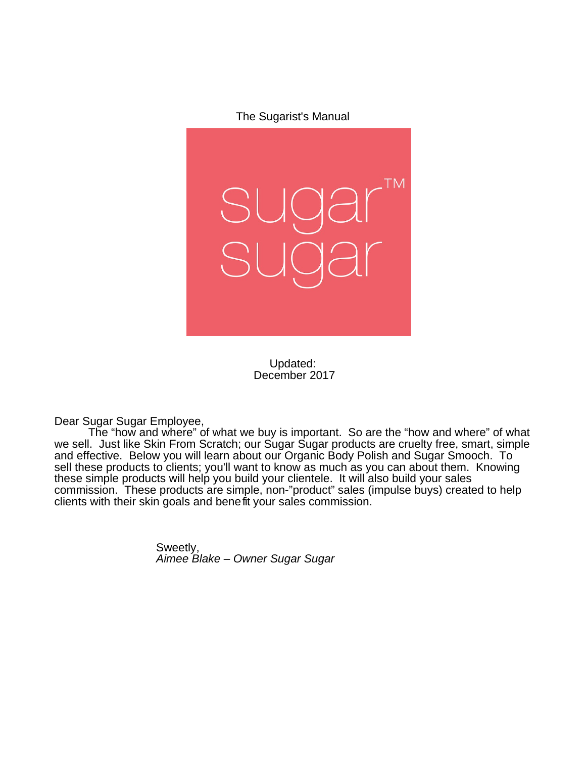The Sugarist's Manual



Updated: December 2017

Dear Sugar Sugar Employee,

The "how and where" of what we buy is important. So are the "how and where" of what we sell. Just like Skin From Scratch; our Sugar Sugar products are cruelty free, smart, simple and effective. Below you will learn about our Organic Body Polish and Sugar Smooch. To sell these products to clients; you'll want to know as much as you can about them. Knowing these simple products will help you build your clientele. It will also build your sales commission. These products are simple, non-"product" sales (impulse buys) created to help clients with their skin goals and benefit your sales commission.

> Sweetly, Aimee Blake – Owner Sugar Sugar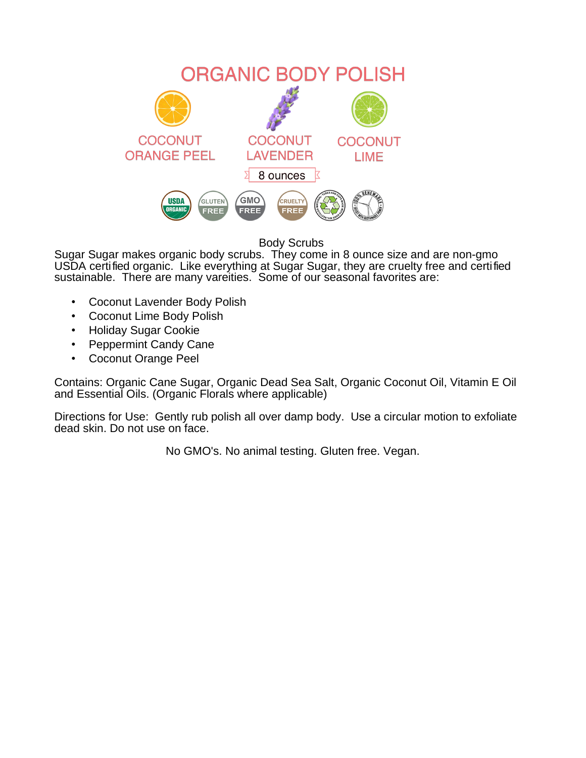

Body Scrubs

Sugar Sugar makes organic body scrubs. They come in 8 ounce size and are non-gmo USDA certified organic. Like everything at Sugar Sugar, they are cruelty free and certified sustainable. There are many vareities. Some of our seasonal favorites are:

- Coconut Lavender Body Polish
- Coconut Lime Body Polish
- Holiday Sugar Cookie
- Peppermint Candy Cane
- Coconut Orange Peel

Contains: Organic Cane Sugar, Organic Dead Sea Salt, Organic Coconut Oil, Vitamin E Oil and Essential Oils. (Organic Florals where applicable)

Directions for Use: Gently rub polish all over damp body. Use a circular motion to exfoliate dead skin. Do not use on face.

No GMO's. No animal testing. Gluten free. Vegan.